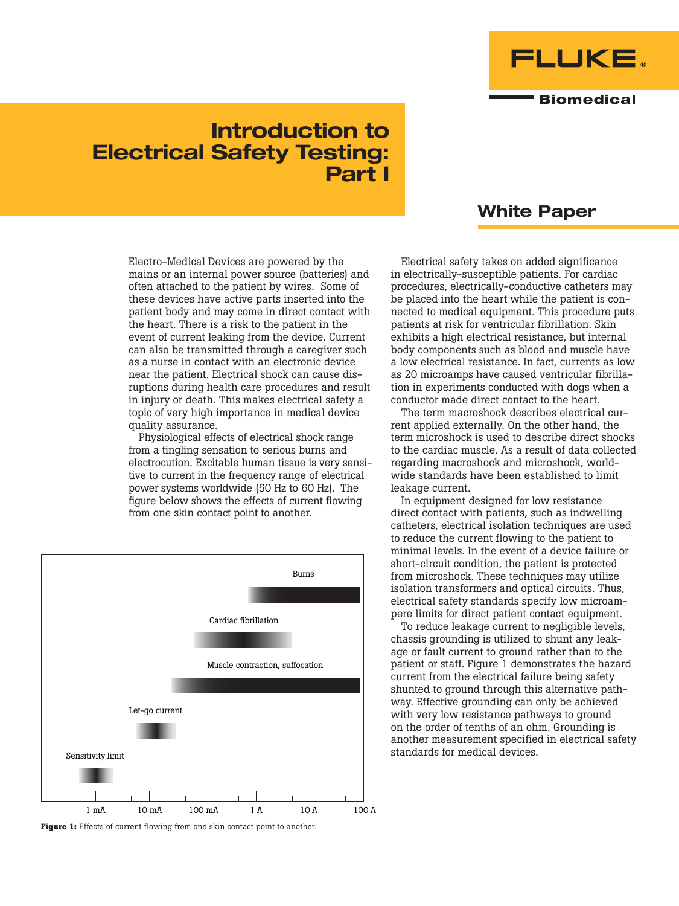

# Introduction to Electrical Safety Testing: Part I

Electro-Medical Devices are powered by the mains or an internal power source (batteries) and often attached to the patient by wires. Some of these devices have active parts inserted into the patient body and may come in direct contact with the heart. There is a risk to the patient in the event of current leaking from the device. Current can also be transmitted through a caregiver such as a nurse in contact with an electronic device near the patient. Electrical shock can cause disruptions during health care procedures and result in injury or death. This makes electrical safety a topic of very high importance in medical device quality assurance.

Physiological effects of electrical shock range from a tingling sensation to serious burns and electrocution. Excitable human tissue is very sensitive to current in the frequency range of electrical power systems worldwide (50 Hz to 60 Hz). The figure below shows the effects of current flowing from one skin contact point to another.



**Figure 1:** Effects of current flowing from one skin contact point to another.

# White Paper

Electrical safety takes on added significance in electrically-susceptible patients. For cardiac procedures, electrically-conductive catheters may be placed into the heart while the patient is connected to medical equipment. This procedure puts patients at risk for ventricular fibrillation. Skin exhibits a high electrical resistance, but internal body components such as blood and muscle have a low electrical resistance. In fact, currents as low as 20 microamps have caused ventricular fibrillation in experiments conducted with dogs when a conductor made direct contact to the heart.

The term macroshock describes electrical current applied externally. On the other hand, the term microshock is used to describe direct shocks to the cardiac muscle. As a result of data collected regarding macroshock and microshock, worldwide standards have been established to limit leakage current.

In equipment designed for low resistance direct contact with patients, such as indwelling catheters, electrical isolation techniques are used to reduce the current flowing to the patient to minimal levels. In the event of a device failure or short-circuit condition, the patient is protected from microshock. These techniques may utilize isolation transformers and optical circuits. Thus, electrical safety standards specify low microampere limits for direct patient contact equipment.

To reduce leakage current to negligible levels, chassis grounding is utilized to shunt any leakage or fault current to ground rather than to the patient or staff. Figure 1 demonstrates the hazard current from the electrical failure being safety shunted to ground through this alternative pathway. Effective grounding can only be achieved with very low resistance pathways to ground on the order of tenths of an ohm. Grounding is another measurement specified in electrical safety standards for medical devices.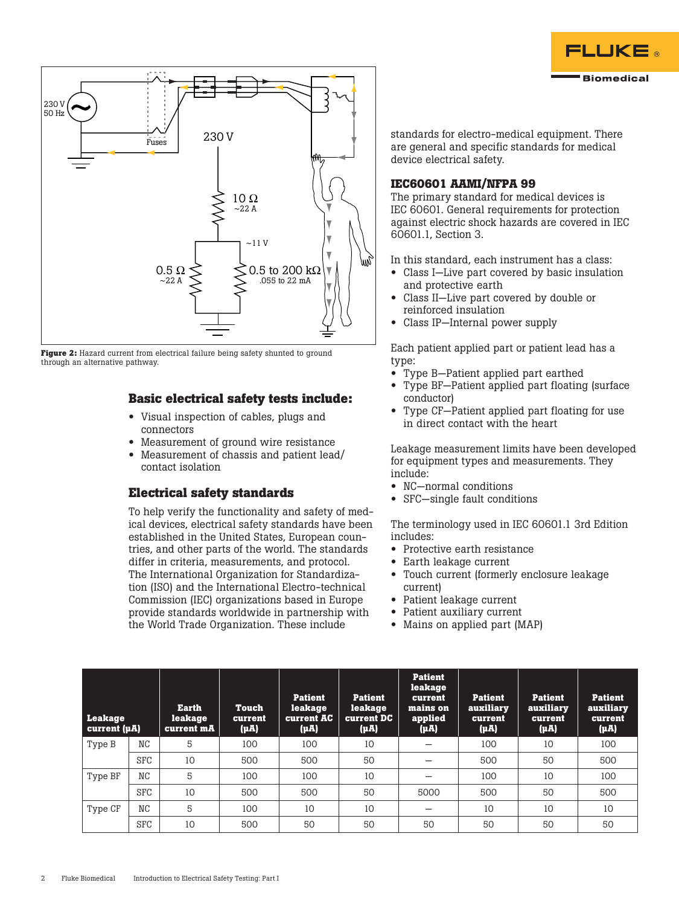



**Figure 2:** Hazard current from electrical failure being safety shunted to ground through an alternative pathway.

### **Basic electrical safety tests include:**

- Visual inspection of cables, plugs and connectors
- Measurement of ground wire resistance
- Measurement of chassis and patient lead/ contact isolation

#### **Electrical safety standards**

To help verify the functionality and safety of medical devices, electrical safety standards have been established in the United States, European countries, and other parts of the world. The standards differ in criteria, measurements, and protocol. The International Organization for Standardization (ISO) and the International Electro-technical Commission (IEC) organizations based in Europe provide standards worldwide in partnership with the World Trade Organization. These include

standards for electro-medical equipment. There are general and specific standards for medical device electrical safety.

#### **IEC60601 AAMI/NFPA 99**

The primary standard for medical devices is IEC 60601. General requirements for protection against electric shock hazards are covered in IEC 60601.1, Section 3.

In this standard, each instrument has a class:

- Class I–Live part covered by basic insulation and protective earth
- Class II—Live part covered by double or reinforced insulation
- Class IP—Internal power supply

Each patient applied part or patient lead has a type:

- Type B—Patient applied part earthed
- Type BF-Patient applied part floating (surface conductor)
- Type CF—Patient applied part floating for use in direct contact with the heart

Leakage measurement limits have been developed for equipment types and measurements. They include:

- NC—normal conditions
- SFC—single fault conditions

The terminology used in IEC 60601.1 3rd Edition includes:

- Protective earth resistance
- Earth leakage current
- Touch current (formerly enclosure leakage current)
- Patient leakage current
- Patient auxiliary current
- Mains on applied part (MAP)

| <b>Leakage</b><br>current $(\mu A)$ |                | <b>Earth</b><br>leakage<br>current mA | <b>Touch</b><br>current<br>(µA) | <b>Patient</b><br>leakage<br>current AC<br>$(\mu A)$ | <b>Patient</b><br>leakage<br><b>Current DC</b><br>$(\mu A)$ | <b>Patient</b><br>leakage<br>current<br>mains on<br>applied<br>$(\mu A)$ | <b>Patient</b><br>auxiliary<br>current<br>$(\mu A)$ | <b>Patient</b><br>auxiliary<br>current<br>$(\mu A)$ | <b>Patient</b><br>auxiliary<br><b>current</b><br>$(\mu A)$ |
|-------------------------------------|----------------|---------------------------------------|---------------------------------|------------------------------------------------------|-------------------------------------------------------------|--------------------------------------------------------------------------|-----------------------------------------------------|-----------------------------------------------------|------------------------------------------------------------|
| Type B                              | N <sub>C</sub> | 5                                     | 100                             | 100                                                  | 10                                                          |                                                                          | 100                                                 | 10                                                  | 100                                                        |
|                                     | <b>SFC</b>     | 10                                    | 500                             | 500                                                  | 50                                                          |                                                                          | 500                                                 | 50                                                  | 500                                                        |
| Type BF                             | N <sub>C</sub> | 5                                     | 100                             | 100                                                  | 10                                                          |                                                                          | 100                                                 | 10                                                  | 100                                                        |
|                                     | <b>SFC</b>     | 10                                    | 500                             | 500                                                  | 50                                                          | 5000                                                                     | 500                                                 | 50                                                  | 500                                                        |
| Type CF                             | NC             | 5                                     | 100                             | 10                                                   | 10                                                          |                                                                          | 10                                                  | 10                                                  | 10                                                         |
|                                     | <b>SFC</b>     | 10                                    | 500                             | 50                                                   | 50                                                          | 50                                                                       | 50                                                  | 50                                                  | 50                                                         |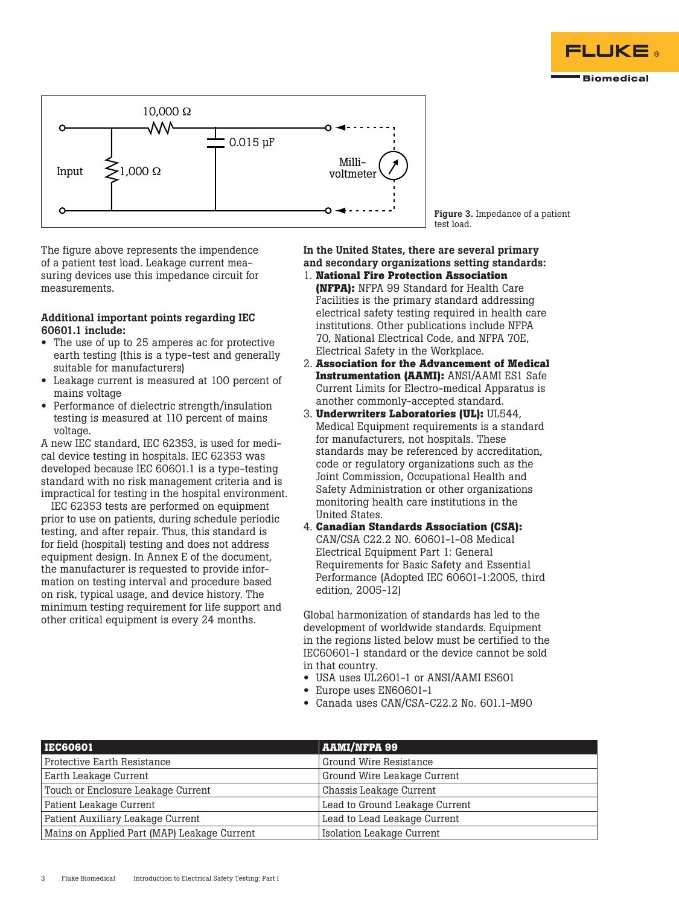



Figure 3. Impedance of a patient test load.

The figure above represents the impendence of a patient test load. Leakage current measuring devices use this impedance circuit for measurements.

#### Additional important points regarding IEC 60601.1 include:

- The use of up to 25 amperes ac for protective earth testing (this is a type-test and generally suitable for manufacturers)
- Leakage current is measured at 100 percent of mains voltage
- Performance of dielectric strength/insulation testing is measured at 110 percent of mains voltage.

A new IEC standard, IEC 62353, is used for medical device testing in hospitals. IEC 62353 was developed because IEC 60601.1 is a type-testing standard with no risk management criteria and is impractical for testing in the hospital environment.

IEC 62353 tests are performed on equipment prior to use on patients, during schedule periodic testing, and after repair. Thus, this standard is for field (hospital) testing and does not address equipment design. In Annex E of the document, the manufacturer is requested to provide information on testing interval and procedure based on risk, typical usage, and device history. The minimum testing requirement for life support and other critical equipment is every 24 months.

In the United States, there are several primary and secondary organizations setting standards: 1. **National Fire Protection Association** 

- **(NFPA):** NFPA 99 Standard for Health Care Facilities is the primary standard addressing electrical safety testing required in health care institutions. Other publications include NFPA 70, National Electrical Code, and NFPA 70E, Electrical Safety in the Workplace.
- 2. **Association for the Advancement of Medical Instrumentation (AAMI):** ANSI/AAMI ES1 Safe Current Limits for Electro-medical Apparatus is another commonly-accepted standard.
- 3. **Underwriters Laboratories (UL):** UL544, Medical Equipment requirements is a standard for manufacturers, not hospitals. These standards may be referenced by accreditation, code or regulatory organizations such as the Joint Commission, Occupational Health and Safety Administration or other organizations monitoring health care institutions in the United States.
- 4. **Canadian Standards Association (CSA):** CAN/CSA C22.2 NO. 60601-1-08 Medical Electrical Equipment Part 1: General Requirements for Basic Safety and Essential Performance (Adopted IEC 60601-1:2005, third edition, 2005-12)

Global harmonization of standards has led to the development of worldwide standards. Equipment in the regions listed below must be certified to the IEC60601-1 standard or the device cannot be sold in that country.

- USA uses UL2601-1 or ANSI/AAMI ES601
- Europe uses EN60601-1
- Canada uses CAN/CSA-C22.2 No. 601.1-M90

| <b>IEC60601</b>                             | <b>AAMI/NFPA 99</b>              |  |  |
|---------------------------------------------|----------------------------------|--|--|
| Protective Earth Resistance                 | Ground Wire Resistance           |  |  |
| Earth Leakage Current                       | Ground Wire Leakage Current      |  |  |
| Touch or Enclosure Leakage Current          | Chassis Leakage Current          |  |  |
| Patient Leakage Current                     | Lead to Ground Leakage Current   |  |  |
| Patient Auxiliary Leakage Current           | Lead to Lead Leakage Current     |  |  |
| Mains on Applied Part (MAP) Leakage Current | <b>Isolation Leakage Current</b> |  |  |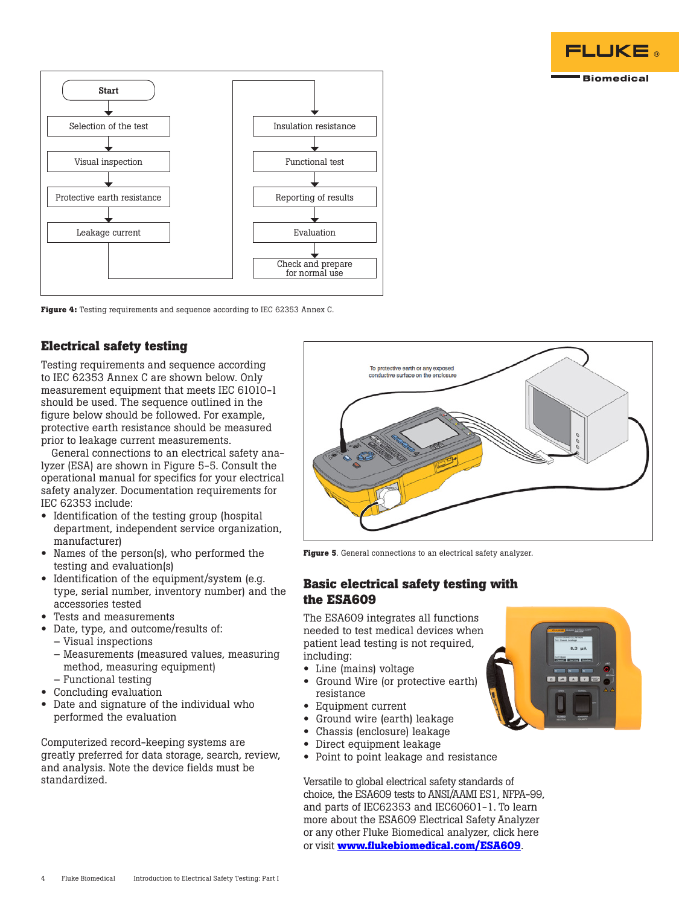



**Figure 4:** Testing requirements and sequence according to IEC 62353 Annex C.

# **Electrical safety testing**

Testing requirements and sequence according to IEC 62353 Annex C are shown below. Only measurement equipment that meets IEC 61010-1 should be used. The sequence outlined in the figure below should be followed. For example, protective earth resistance should be measured prior to leakage current measurements.

General connections to an electrical safety analyzer (ESA) are shown in Figure 5-5. Consult the operational manual for specifics for your electrical safety analyzer. Documentation requirements for IEC 62353 include:

- Identification of the testing group (hospital department, independent service organization, manufacturer)
- Names of the person(s), who performed the testing and evaluation(s)
- Identification of the equipment/system (e.g. type, serial number, inventory number) and the accessories tested
- Tests and measurements
- Date, type, and outcome/results of:
	- Visual inspections
	- Measurements (measured values, measuring method, measuring equipment) – Functional testing
- Concluding evaluation
- Date and signature of the individual who
- performed the evaluation

Computerized record-keeping systems are greatly preferred for data storage, search, review, and analysis. Note the device fields must be standardized.



**Figure 5**. General connections to an electrical safety analyzer.

## **Basic electrical safety testing with the ESA609**

The ESA609 integrates all functions needed to test medical devices when patient lead testing is not required, including:

- Line (mains) voltage
- Ground Wire (or protective earth) resistance
- Equipment current
- Ground wire (earth) leakage
- Chassis (enclosure) leakage
- Direct equipment leakage
- Point to point leakage and resistance

Versatile to global electrical safety standards of choice, the ESA609 tests to ANSI/AAMI ES1, NFPA-99, and parts of IEC62353 and IEC60601-1. To learn more about the ESA609 Electrical Safety Analyzer or any other Fluke Biomedical analyzer, click here or visit **[www.flukebiomedical.com/ESA609](http://www.flukebiomedical.com/ESA609)**.